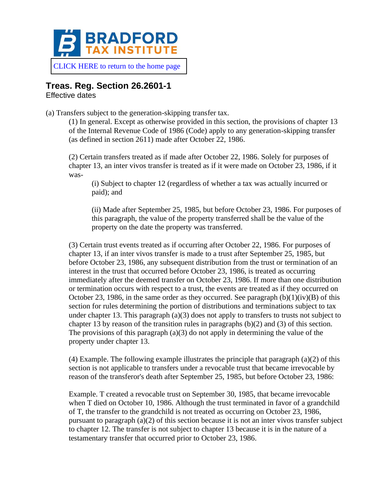

[CLICK HERE to return to the home page](https://www.bradfordtaxinstitute.com)

# **Treas. Reg. Section 26.2601-1**

Effective dates

(a) Transfers subject to the generation-skipping transfer tax.

(1) In general. Except as otherwise provided in this section, the provisions of chapter 13 of the Internal Revenue Code of 1986 (Code) apply to any generation-skipping transfer (as defined in section 2611) made after October 22, 1986.

(2) Certain transfers treated as if made after October 22, 1986. Solely for purposes of chapter 13, an inter vivos transfer is treated as if it were made on October 23, 1986, if it was-

(i) Subject to chapter 12 (regardless of whether a tax was actually incurred or paid); and

(ii) Made after September 25, 1985, but before October 23, 1986. For purposes of this paragraph, the value of the property transferred shall be the value of the property on the date the property was transferred.

(3) Certain trust events treated as if occurring after October 22, 1986. For purposes of chapter 13, if an inter vivos transfer is made to a trust after September 25, 1985, but before October 23, 1986, any subsequent distribution from the trust or termination of an interest in the trust that occurred before October 23, 1986, is treated as occurring immediately after the deemed transfer on October 23, 1986. If more than one distribution or termination occurs with respect to a trust, the events are treated as if they occurred on October 23, 1986, in the same order as they occurred. See paragraph  $(b)(1)(iv)(B)$  of this section for rules determining the portion of distributions and terminations subject to tax under chapter 13. This paragraph (a)(3) does not apply to transfers to trusts not subject to chapter 13 by reason of the transition rules in paragraphs (b)(2) and (3) of this section. The provisions of this paragraph  $(a)(3)$  do not apply in determining the value of the property under chapter 13.

 $(4)$  Example. The following example illustrates the principle that paragraph  $(a)(2)$  of this section is not applicable to transfers under a revocable trust that became irrevocable by reason of the transferor's death after September 25, 1985, but before October 23, 1986:

Example. T created a revocable trust on September 30, 1985, that became irrevocable when T died on October 10, 1986. Although the trust terminated in favor of a grandchild of T, the transfer to the grandchild is not treated as occurring on October 23, 1986, pursuant to paragraph  $(a)(2)$  of this section because it is not an inter vivos transfer subject to chapter 12. The transfer is not subject to chapter 13 because it is in the nature of a testamentary transfer that occurred prior to October 23, 1986.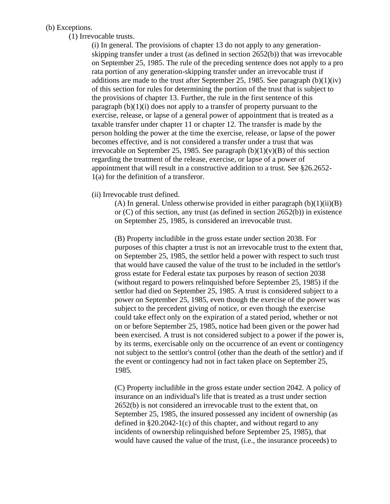#### (b) Exceptions.

(1) Irrevocable trusts.

(i) In general. The provisions of chapter 13 do not apply to any generationskipping transfer under a trust (as defined in section 2652(b)) that was irrevocable on September 25, 1985. The rule of the preceding sentence does not apply to a pro rata portion of any generation-skipping transfer under an irrevocable trust if additions are made to the trust after September 25, 1985. See paragraph  $(b)(1)(iv)$ of this section for rules for determining the portion of the trust that is subject to the provisions of chapter 13. Further, the rule in the first sentence of this paragraph  $(b)(1)(i)$  does not apply to a transfer of property pursuant to the exercise, release, or lapse of a general power of appointment that is treated as a taxable transfer under chapter 11 or chapter 12. The transfer is made by the person holding the power at the time the exercise, release, or lapse of the power becomes effective, and is not considered a transfer under a trust that was irrevocable on September 25, 1985. See paragraph  $(b)(1)(v)(B)$  of this section regarding the treatment of the release, exercise, or lapse of a power of appointment that will result in a constructive addition to a trust. See §26.2652- 1(a) for the definition of a transferor.

(ii) Irrevocable trust defined.

(A) In general. Unless otherwise provided in either paragraph  $(b)(1)(ii)(B)$ or (C) of this section, any trust (as defined in section 2652(b)) in existence on September 25, 1985, is considered an irrevocable trust.

(B) Property includible in the gross estate under section 2038. For purposes of this chapter a trust is not an irrevocable trust to the extent that, on September 25, 1985, the settlor held a power with respect to such trust that would have caused the value of the trust to be included in the settlor's gross estate for Federal estate tax purposes by reason of section 2038 (without regard to powers relinquished before September 25, 1985) if the settlor had died on September 25, 1985. A trust is considered subject to a power on September 25, 1985, even though the exercise of the power was subject to the precedent giving of notice, or even though the exercise could take effect only on the expiration of a stated period, whether or not on or before September 25, 1985, notice had been given or the power had been exercised. A trust is not considered subject to a power if the power is, by its terms, exercisable only on the occurrence of an event or contingency not subject to the settlor's control (other than the death of the settlor) and if the event or contingency had not in fact taken place on September 25, 1985.

(C) Property includible in the gross estate under section 2042. A policy of insurance on an individual's life that is treated as a trust under section 2652(b) is not considered an irrevocable trust to the extent that, on September 25, 1985, the insured possessed any incident of ownership (as defined in §20.2042-1(c) of this chapter, and without regard to any incidents of ownership relinquished before September 25, 1985), that would have caused the value of the trust, (i.e., the insurance proceeds) to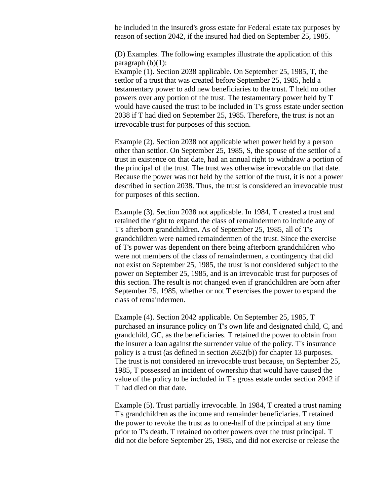be included in the insured's gross estate for Federal estate tax purposes by reason of section 2042, if the insured had died on September 25, 1985.

(D) Examples. The following examples illustrate the application of this paragraph  $(b)(1)$ :

Example (1). Section 2038 applicable. On September 25, 1985, T, the settlor of a trust that was created before September 25, 1985, held a testamentary power to add new beneficiaries to the trust. T held no other powers over any portion of the trust. The testamentary power held by T would have caused the trust to be included in T's gross estate under section 2038 if T had died on September 25, 1985. Therefore, the trust is not an irrevocable trust for purposes of this section.

Example (2). Section 2038 not applicable when power held by a person other than settlor. On September 25, 1985, S, the spouse of the settlor of a trust in existence on that date, had an annual right to withdraw a portion of the principal of the trust. The trust was otherwise irrevocable on that date. Because the power was not held by the settlor of the trust, it is not a power described in section 2038. Thus, the trust is considered an irrevocable trust for purposes of this section.

Example (3). Section 2038 not applicable. In 1984, T created a trust and retained the right to expand the class of remaindermen to include any of T's afterborn grandchildren. As of September 25, 1985, all of T's grandchildren were named remaindermen of the trust. Since the exercise of T's power was dependent on there being afterborn grandchildren who were not members of the class of remaindermen, a contingency that did not exist on September 25, 1985, the trust is not considered subject to the power on September 25, 1985, and is an irrevocable trust for purposes of this section. The result is not changed even if grandchildren are born after September 25, 1985, whether or not T exercises the power to expand the class of remaindermen.

Example (4). Section 2042 applicable. On September 25, 1985, T purchased an insurance policy on T's own life and designated child, C, and grandchild, GC, as the beneficiaries. T retained the power to obtain from the insurer a loan against the surrender value of the policy. T's insurance policy is a trust (as defined in section 2652(b)) for chapter 13 purposes. The trust is not considered an irrevocable trust because, on September 25, 1985, T possessed an incident of ownership that would have caused the value of the policy to be included in T's gross estate under section 2042 if T had died on that date.

Example (5). Trust partially irrevocable. In 1984, T created a trust naming T's grandchildren as the income and remainder beneficiaries. T retained the power to revoke the trust as to one-half of the principal at any time prior to T's death. T retained no other powers over the trust principal. T did not die before September 25, 1985, and did not exercise or release the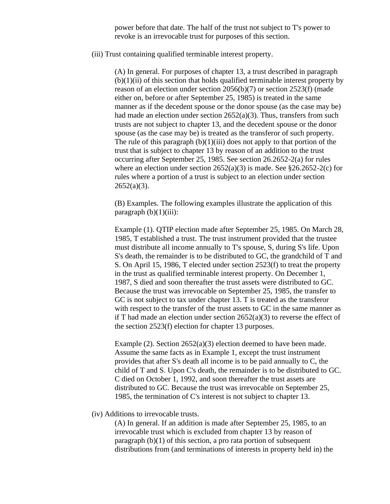power before that date. The half of the trust not subject to T's power to revoke is an irrevocable trust for purposes of this section.

(iii) Trust containing qualified terminable interest property.

(A) In general. For purposes of chapter 13, a trust described in paragraph  $(b)(1)(ii)$  of this section that holds qualified terminable interest property by reason of an election under section 2056(b)(7) or section 2523(f) (made either on, before or after September 25, 1985) is treated in the same manner as if the decedent spouse or the donor spouse (as the case may be) had made an election under section  $2652(a)(3)$ . Thus, transfers from such trusts are not subject to chapter 13, and the decedent spouse or the donor spouse (as the case may be) is treated as the transferor of such property. The rule of this paragraph  $(b)(1)(iii)$  does not apply to that portion of the trust that is subject to chapter 13 by reason of an addition to the trust occurring after September 25, 1985. See section 26.2652-2(a) for rules where an election under section  $2652(a)(3)$  is made. See §26.2652-2(c) for rules where a portion of a trust is subject to an election under section  $2652(a)(3)$ .

(B) Examples. The following examples illustrate the application of this paragraph  $(b)(1)(iii)$ :

Example (1). QTIP election made after September 25, 1985. On March 28, 1985, T established a trust. The trust instrument provided that the trustee must distribute all income annually to T's spouse, S, during S's life. Upon S's death, the remainder is to be distributed to GC, the grandchild of T and S. On April 15, 1986, T elected under section 2523(f) to treat the property in the trust as qualified terminable interest property. On December 1, 1987, S died and soon thereafter the trust assets were distributed to GC. Because the trust was irrevocable on September 25, 1985, the transfer to GC is not subject to tax under chapter 13. T is treated as the transferor with respect to the transfer of the trust assets to GC in the same manner as if T had made an election under section  $2652(a)(3)$  to reverse the effect of the section 2523(f) election for chapter 13 purposes.

Example (2). Section 2652(a)(3) election deemed to have been made. Assume the same facts as in Example 1, except the trust instrument provides that after S's death all income is to be paid annually to C, the child of T and S. Upon C's death, the remainder is to be distributed to GC. C died on October 1, 1992, and soon thereafter the trust assets are distributed to GC. Because the trust was irrevocable on September 25, 1985, the termination of C's interest is not subject to chapter 13.

## (iv) Additions to irrevocable trusts.

(A) In general. If an addition is made after September 25, 1985, to an irrevocable trust which is excluded from chapter 13 by reason of paragraph (b)(1) of this section, a pro rata portion of subsequent distributions from (and terminations of interests in property held in) the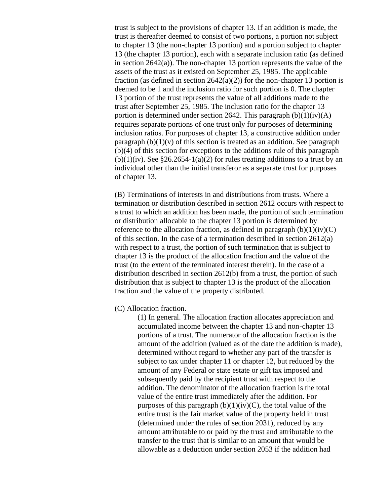trust is subject to the provisions of chapter 13. If an addition is made, the trust is thereafter deemed to consist of two portions, a portion not subject to chapter 13 (the non-chapter 13 portion) and a portion subject to chapter 13 (the chapter 13 portion), each with a separate inclusion ratio (as defined in section 2642(a)). The non-chapter 13 portion represents the value of the assets of the trust as it existed on September 25, 1985. The applicable fraction (as defined in section  $2642(a)(2)$ ) for the non-chapter 13 portion is deemed to be 1 and the inclusion ratio for such portion is 0. The chapter 13 portion of the trust represents the value of all additions made to the trust after September 25, 1985. The inclusion ratio for the chapter 13 portion is determined under section 2642. This paragraph  $(b)(1)(iv)(A)$ requires separate portions of one trust only for purposes of determining inclusion ratios. For purposes of chapter 13, a constructive addition under paragraph  $(b)(1)(v)$  of this section is treated as an addition. See paragraph (b)(4) of this section for exceptions to the additions rule of this paragraph  $(b)(1)(iv)$ . See §26.2654-1(a)(2) for rules treating additions to a trust by an individual other than the initial transferor as a separate trust for purposes of chapter 13.

(B) Terminations of interests in and distributions from trusts. Where a termination or distribution described in section 2612 occurs with respect to a trust to which an addition has been made, the portion of such termination or distribution allocable to the chapter 13 portion is determined by reference to the allocation fraction, as defined in paragraph  $(b)(1)(iv)(C)$ of this section. In the case of a termination described in section 2612(a) with respect to a trust, the portion of such termination that is subject to chapter 13 is the product of the allocation fraction and the value of the trust (to the extent of the terminated interest therein). In the case of a distribution described in section 2612(b) from a trust, the portion of such distribution that is subject to chapter 13 is the product of the allocation fraction and the value of the property distributed.

## (C) Allocation fraction.

(1) In general. The allocation fraction allocates appreciation and accumulated income between the chapter 13 and non-chapter 13 portions of a trust. The numerator of the allocation fraction is the amount of the addition (valued as of the date the addition is made), determined without regard to whether any part of the transfer is subject to tax under chapter 11 or chapter 12, but reduced by the amount of any Federal or state estate or gift tax imposed and subsequently paid by the recipient trust with respect to the addition. The denominator of the allocation fraction is the total value of the entire trust immediately after the addition. For purposes of this paragraph  $(b)(1)(iv)(C)$ , the total value of the entire trust is the fair market value of the property held in trust (determined under the rules of section 2031), reduced by any amount attributable to or paid by the trust and attributable to the transfer to the trust that is similar to an amount that would be allowable as a deduction under section 2053 if the addition had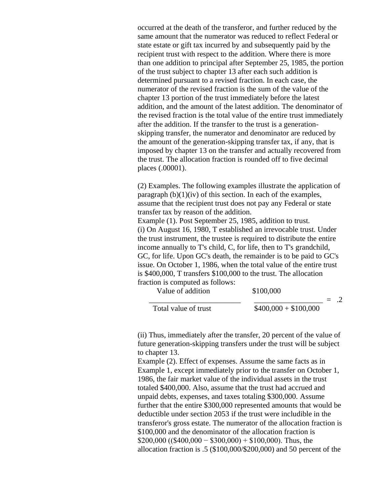occurred at the death of the transferor, and further reduced by the same amount that the numerator was reduced to reflect Federal or state estate or gift tax incurred by and subsequently paid by the recipient trust with respect to the addition. Where there is more than one addition to principal after September 25, 1985, the portion of the trust subject to chapter 13 after each such addition is determined pursuant to a revised fraction. In each case, the numerator of the revised fraction is the sum of the value of the chapter 13 portion of the trust immediately before the latest addition, and the amount of the latest addition. The denominator of the revised fraction is the total value of the entire trust immediately after the addition. If the transfer to the trust is a generationskipping transfer, the numerator and denominator are reduced by the amount of the generation-skipping transfer tax, if any, that is imposed by chapter 13 on the transfer and actually recovered from the trust. The allocation fraction is rounded off to five decimal places (.00001).

(2) Examples. The following examples illustrate the application of paragraph  $(b)(1)(iv)$  of this section. In each of the examples, assume that the recipient trust does not pay any Federal or state transfer tax by reason of the addition.

Example (1). Post September 25, 1985, addition to trust. (i) On August 16, 1980, T established an irrevocable trust. Under the trust instrument, the trustee is required to distribute the entire income annually to T's child, C, for life, then to T's grandchild, GC, for life. Upon GC's death, the remainder is to be paid to GC's issue. On October 1, 1986, when the total value of the entire trust is \$400,000, T transfers \$100,000 to the trust. The allocation fraction is computed as follows:

Value of addition \$100,000

|  |                      | --------              |  |  |
|--|----------------------|-----------------------|--|--|
|  |                      |                       |  |  |
|  | Total value of trust | $$400,000 + $100,000$ |  |  |

(ii) Thus, immediately after the transfer, 20 percent of the value of future generation-skipping transfers under the trust will be subject to chapter 13.

Example (2). Effect of expenses. Assume the same facts as in Example 1, except immediately prior to the transfer on October 1, 1986, the fair market value of the individual assets in the trust totaled \$400,000. Also, assume that the trust had accrued and unpaid debts, expenses, and taxes totaling \$300,000. Assume further that the entire \$300,000 represented amounts that would be deductible under section 2053 if the trust were includible in the transferor's gross estate. The numerator of the allocation fraction is \$100,000 and the denominator of the allocation fraction is  $$200,000$  ((\$400,000 – \$300,000) + \$100,000). Thus, the allocation fraction is .5 (\$100,000/\$200,000) and 50 percent of the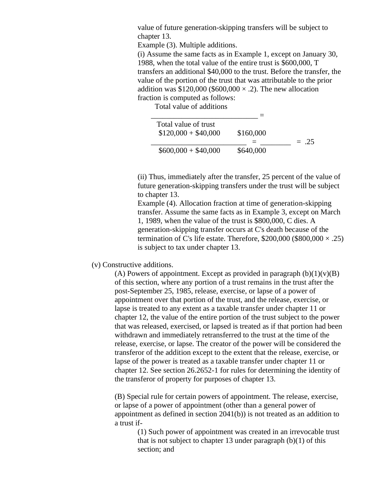value of future generation-skipping transfers will be subject to chapter 13.

Example (3). Multiple additions.

(i) Assume the same facts as in Example 1, except on January 30, 1988, when the total value of the entire trust is \$600,000, T transfers an additional \$40,000 to the trust. Before the transfer, the value of the portion of the trust that was attributable to the prior addition was \$120,000 (\$600,000  $\times$  .2). The new allocation fraction is computed as follows:

Total value of additions

| \$160,000 |         |
|-----------|---------|
|           | $= .25$ |
| \$640,000 |         |
|           |         |

(ii) Thus, immediately after the transfer, 25 percent of the value of future generation-skipping transfers under the trust will be subject to chapter 13.

Example (4). Allocation fraction at time of generation-skipping transfer. Assume the same facts as in Example 3, except on March 1, 1989, when the value of the trust is \$800,000, C dies. A generation-skipping transfer occurs at C's death because of the termination of C's life estate. Therefore,  $$200,000 ($800,000 \times .25)$ is subject to tax under chapter 13.

#### (v) Constructive additions.

(A) Powers of appointment. Except as provided in paragraph  $(b)(1)(v)(B)$ of this section, where any portion of a trust remains in the trust after the post-September 25, 1985, release, exercise, or lapse of a power of appointment over that portion of the trust, and the release, exercise, or lapse is treated to any extent as a taxable transfer under chapter 11 or chapter 12, the value of the entire portion of the trust subject to the power that was released, exercised, or lapsed is treated as if that portion had been withdrawn and immediately retransferred to the trust at the time of the release, exercise, or lapse. The creator of the power will be considered the transferor of the addition except to the extent that the release, exercise, or lapse of the power is treated as a taxable transfer under chapter 11 or chapter 12. See section 26.2652-1 for rules for determining the identity of the transferor of property for purposes of chapter 13.

(B) Special rule for certain powers of appointment. The release, exercise, or lapse of a power of appointment (other than a general power of appointment as defined in section 2041(b)) is not treated as an addition to a trust if-

> (1) Such power of appointment was created in an irrevocable trust that is not subject to chapter 13 under paragraph  $(b)(1)$  of this section; and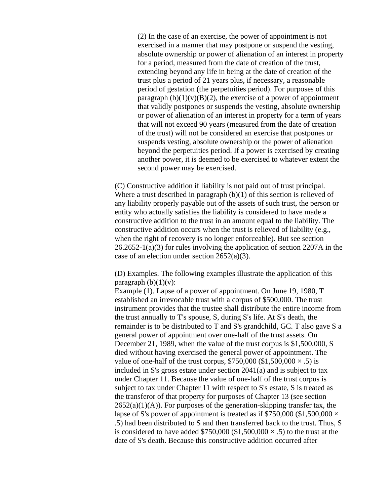(2) In the case of an exercise, the power of appointment is not exercised in a manner that may postpone or suspend the vesting, absolute ownership or power of alienation of an interest in property for a period, measured from the date of creation of the trust, extending beyond any life in being at the date of creation of the trust plus a period of 21 years plus, if necessary, a reasonable period of gestation (the perpetuities period). For purposes of this paragraph  $(b)(1)(v)(B)(2)$ , the exercise of a power of appointment that validly postpones or suspends the vesting, absolute ownership or power of alienation of an interest in property for a term of years that will not exceed 90 years (measured from the date of creation of the trust) will not be considered an exercise that postpones or suspends vesting, absolute ownership or the power of alienation beyond the perpetuities period. If a power is exercised by creating another power, it is deemed to be exercised to whatever extent the second power may be exercised.

(C) Constructive addition if liability is not paid out of trust principal. Where a trust described in paragraph  $(b)(1)$  of this section is relieved of any liability properly payable out of the assets of such trust, the person or entity who actually satisfies the liability is considered to have made a constructive addition to the trust in an amount equal to the liability. The constructive addition occurs when the trust is relieved of liability (e.g., when the right of recovery is no longer enforceable). But see section 26.2652-1(a)(3) for rules involving the application of section 2207A in the case of an election under section 2652(a)(3).

(D) Examples. The following examples illustrate the application of this paragraph  $(b)(1)(v)$ :

Example (1). Lapse of a power of appointment. On June 19, 1980, T established an irrevocable trust with a corpus of \$500,000. The trust instrument provides that the trustee shall distribute the entire income from the trust annually to T's spouse, S, during S's life. At S's death, the remainder is to be distributed to T and S's grandchild, GC. T also gave S a general power of appointment over one-half of the trust assets. On December 21, 1989, when the value of the trust corpus is \$1,500,000, S died without having exercised the general power of appointment. The value of one-half of the trust corpus,  $$750,000 ($1,500,000 \times .5)$  is included in S's gross estate under section 2041(a) and is subject to tax under Chapter 11. Because the value of one-half of the trust corpus is subject to tax under Chapter 11 with respect to S's estate, S is treated as the transferor of that property for purposes of Chapter 13 (see section  $2652(a)(1)(A)$ . For purposes of the generation-skipping transfer tax, the lapse of S's power of appointment is treated as if \$750,000 (\$1,500,000  $\times$ .5) had been distributed to S and then transferred back to the trust. Thus, S is considered to have added \$750,000 (\$1,500,000  $\times$  .5) to the trust at the date of S's death. Because this constructive addition occurred after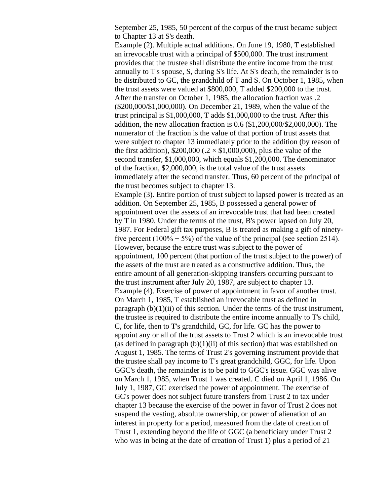September 25, 1985, 50 percent of the corpus of the trust became subject to Chapter 13 at S's death.

Example (2). Multiple actual additions. On June 19, 1980, T established an irrevocable trust with a principal of \$500,000. The trust instrument provides that the trustee shall distribute the entire income from the trust annually to T's spouse, S, during S's life. At S's death, the remainder is to be distributed to GC, the grandchild of T and S. On October 1, 1985, when the trust assets were valued at \$800,000, T added \$200,000 to the trust. After the transfer on October 1, 1985, the allocation fraction was .2 (\$200,000/\$1,000,000). On December 21, 1989, when the value of the trust principal is \$1,000,000, T adds \$1,000,000 to the trust. After this addition, the new allocation fraction is 0.6 (\$1,200,000/\$2,000,000). The numerator of the fraction is the value of that portion of trust assets that were subject to chapter 13 immediately prior to the addition (by reason of the first addition),  $$200,000$  (.2  $\times$  \$1,000,000), plus the value of the second transfer, \$1,000,000, which equals \$1,200,000. The denominator of the fraction, \$2,000,000, is the total value of the trust assets immediately after the second transfer. Thus, 60 percent of the principal of the trust becomes subject to chapter 13.

Example (3). Entire portion of trust subject to lapsed power is treated as an addition. On September 25, 1985, B possessed a general power of appointment over the assets of an irrevocable trust that had been created by T in 1980. Under the terms of the trust, B's power lapsed on July 20, 1987. For Federal gift tax purposes, B is treated as making a gift of ninetyfive percent  $(100\% - 5\%)$  of the value of the principal (see section 2514). However, because the entire trust was subject to the power of appointment, 100 percent (that portion of the trust subject to the power) of the assets of the trust are treated as a constructive addition. Thus, the entire amount of all generation-skipping transfers occurring pursuant to the trust instrument after July 20, 1987, are subject to chapter 13. Example (4). Exercise of power of appointment in favor of another trust. On March 1, 1985, T established an irrevocable trust as defined in paragraph  $(b)(1)(ii)$  of this section. Under the terms of the trust instrument, the trustee is required to distribute the entire income annually to T's child, C, for life, then to T's grandchild, GC, for life. GC has the power to appoint any or all of the trust assets to Trust 2 which is an irrevocable trust (as defined in paragraph  $(b)(1)(ii)$  of this section) that was established on August 1, 1985. The terms of Trust 2's governing instrument provide that the trustee shall pay income to T's great grandchild, GGC, for life. Upon GGC's death, the remainder is to be paid to GGC's issue. GGC was alive on March 1, 1985, when Trust 1 was created. C died on April 1, 1986. On July 1, 1987, GC exercised the power of appointment. The exercise of GC's power does not subject future transfers from Trust 2 to tax under chapter 13 because the exercise of the power in favor of Trust 2 does not suspend the vesting, absolute ownership, or power of alienation of an interest in property for a period, measured from the date of creation of Trust 1, extending beyond the life of GGC (a beneficiary under Trust 2 who was in being at the date of creation of Trust 1) plus a period of 21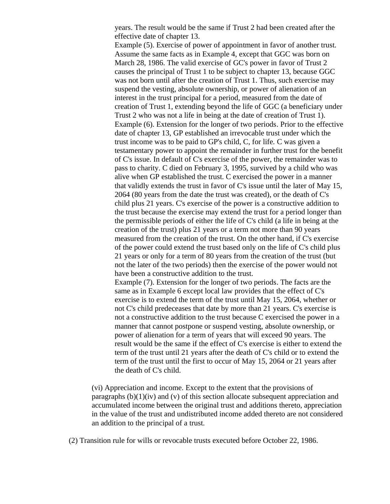years. The result would be the same if Trust 2 had been created after the effective date of chapter 13.

Example (5). Exercise of power of appointment in favor of another trust. Assume the same facts as in Example 4, except that GGC was born on March 28, 1986. The valid exercise of GC's power in favor of Trust 2 causes the principal of Trust 1 to be subject to chapter 13, because GGC was not born until after the creation of Trust 1. Thus, such exercise may suspend the vesting, absolute ownership, or power of alienation of an interest in the trust principal for a period, measured from the date of creation of Trust 1, extending beyond the life of GGC (a beneficiary under Trust 2 who was not a life in being at the date of creation of Trust 1). Example (6). Extension for the longer of two periods. Prior to the effective date of chapter 13, GP established an irrevocable trust under which the trust income was to be paid to GP's child, C, for life. C was given a testamentary power to appoint the remainder in further trust for the benefit of C's issue. In default of C's exercise of the power, the remainder was to pass to charity. C died on February 3, 1995, survived by a child who was alive when GP established the trust. C exercised the power in a manner that validly extends the trust in favor of C's issue until the later of May 15, 2064 (80 years from the date the trust was created), or the death of C's child plus 21 years. C's exercise of the power is a constructive addition to the trust because the exercise may extend the trust for a period longer than the permissible periods of either the life of C's child (a life in being at the creation of the trust) plus 21 years or a term not more than 90 years measured from the creation of the trust. On the other hand, if C's exercise of the power could extend the trust based only on the life of C's child plus 21 years or only for a term of 80 years from the creation of the trust (but not the later of the two periods) then the exercise of the power would not have been a constructive addition to the trust. Example (7). Extension for the longer of two periods. The facts are the same as in Example 6 except local law provides that the effect of C's

exercise is to extend the term of the trust until May 15, 2064, whether or not C's child predeceases that date by more than 21 years. C's exercise is not a constructive addition to the trust because C exercised the power in a manner that cannot postpone or suspend vesting, absolute ownership, or power of alienation for a term of years that will exceed 90 years. The result would be the same if the effect of C's exercise is either to extend the term of the trust until 21 years after the death of C's child or to extend the term of the trust until the first to occur of May 15, 2064 or 21 years after the death of C's child.

(vi) Appreciation and income. Except to the extent that the provisions of paragraphs  $(b)(1)(iv)$  and  $(v)$  of this section allocate subsequent appreciation and accumulated income between the original trust and additions thereto, appreciation in the value of the trust and undistributed income added thereto are not considered an addition to the principal of a trust.

(2) Transition rule for wills or revocable trusts executed before October 22, 1986.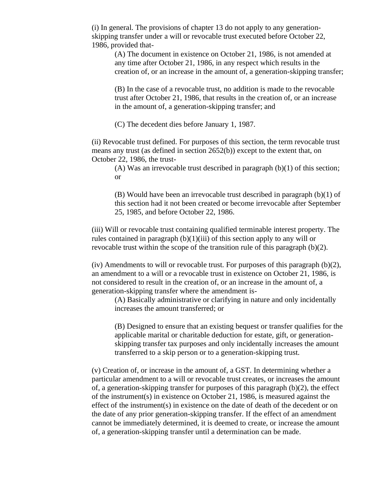(i) In general. The provisions of chapter 13 do not apply to any generationskipping transfer under a will or revocable trust executed before October 22, 1986, provided that-

(A) The document in existence on October 21, 1986, is not amended at any time after October 21, 1986, in any respect which results in the creation of, or an increase in the amount of, a generation-skipping transfer;

(B) In the case of a revocable trust, no addition is made to the revocable trust after October 21, 1986, that results in the creation of, or an increase in the amount of, a generation-skipping transfer; and

(C) The decedent dies before January 1, 1987.

(ii) Revocable trust defined. For purposes of this section, the term revocable trust means any trust (as defined in section 2652(b)) except to the extent that, on October 22, 1986, the trust-

(A) Was an irrevocable trust described in paragraph  $(b)(1)$  of this section; or

(B) Would have been an irrevocable trust described in paragraph (b)(1) of this section had it not been created or become irrevocable after September 25, 1985, and before October 22, 1986.

(iii) Will or revocable trust containing qualified terminable interest property. The rules contained in paragraph  $(b)(1)(iii)$  of this section apply to any will or revocable trust within the scope of the transition rule of this paragraph (b)(2).

(iv) Amendments to will or revocable trust. For purposes of this paragraph  $(b)(2)$ , an amendment to a will or a revocable trust in existence on October 21, 1986, is not considered to result in the creation of, or an increase in the amount of, a generation-skipping transfer where the amendment is-

(A) Basically administrative or clarifying in nature and only incidentally increases the amount transferred; or

(B) Designed to ensure that an existing bequest or transfer qualifies for the applicable marital or charitable deduction for estate, gift, or generationskipping transfer tax purposes and only incidentally increases the amount transferred to a skip person or to a generation-skipping trust.

(v) Creation of, or increase in the amount of, a GST. In determining whether a particular amendment to a will or revocable trust creates, or increases the amount of, a generation-skipping transfer for purposes of this paragraph (b)(2), the effect of the instrument(s) in existence on October 21, 1986, is measured against the effect of the instrument(s) in existence on the date of death of the decedent or on the date of any prior generation-skipping transfer. If the effect of an amendment cannot be immediately determined, it is deemed to create, or increase the amount of, a generation-skipping transfer until a determination can be made.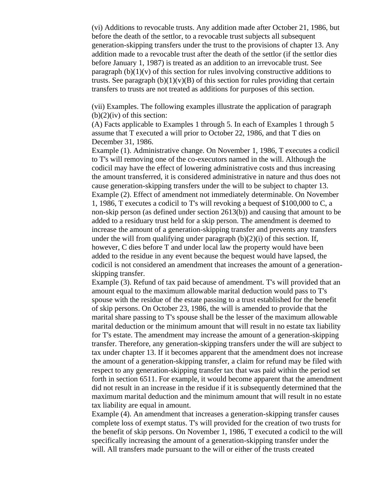(vi) Additions to revocable trusts. Any addition made after October 21, 1986, but before the death of the settlor, to a revocable trust subjects all subsequent generation-skipping transfers under the trust to the provisions of chapter 13. Any addition made to a revocable trust after the death of the settlor (if the settlor dies before January 1, 1987) is treated as an addition to an irrevocable trust. See paragraph  $(b)(1)(v)$  of this section for rules involving constructive additions to trusts. See paragraph  $(b)(1)(v)(B)$  of this section for rules providing that certain transfers to trusts are not treated as additions for purposes of this section.

(vii) Examples. The following examples illustrate the application of paragraph  $(b)(2)(iv)$  of this section:

(A) Facts applicable to Examples 1 through 5. In each of Examples 1 through 5 assume that T executed a will prior to October 22, 1986, and that T dies on December 31, 1986.

Example (1). Administrative change. On November 1, 1986, T executes a codicil to T's will removing one of the co-executors named in the will. Although the codicil may have the effect of lowering administrative costs and thus increasing the amount transferred, it is considered administrative in nature and thus does not cause generation-skipping transfers under the will to be subject to chapter 13. Example (2). Effect of amendment not immediately determinable. On November 1, 1986, T executes a codicil to T's will revoking a bequest of \$100,000 to C, a non-skip person (as defined under section 2613(b)) and causing that amount to be added to a residuary trust held for a skip person. The amendment is deemed to increase the amount of a generation-skipping transfer and prevents any transfers under the will from qualifying under paragraph  $(b)(2)(i)$  of this section. If, however, C dies before T and under local law the property would have been added to the residue in any event because the bequest would have lapsed, the codicil is not considered an amendment that increases the amount of a generationskipping transfer.

Example (3). Refund of tax paid because of amendment. T's will provided that an amount equal to the maximum allowable marital deduction would pass to T's spouse with the residue of the estate passing to a trust established for the benefit of skip persons. On October 23, 1986, the will is amended to provide that the marital share passing to T's spouse shall be the lesser of the maximum allowable marital deduction or the minimum amount that will result in no estate tax liability for T's estate. The amendment may increase the amount of a generation-skipping transfer. Therefore, any generation-skipping transfers under the will are subject to tax under chapter 13. If it becomes apparent that the amendment does not increase the amount of a generation-skipping transfer, a claim for refund may be filed with respect to any generation-skipping transfer tax that was paid within the period set forth in section 6511. For example, it would become apparent that the amendment did not result in an increase in the residue if it is subsequently determined that the maximum marital deduction and the minimum amount that will result in no estate tax liability are equal in amount.

Example (4). An amendment that increases a generation-skipping transfer causes complete loss of exempt status. T's will provided for the creation of two trusts for the benefit of skip persons. On November 1, 1986, T executed a codicil to the will specifically increasing the amount of a generation-skipping transfer under the will. All transfers made pursuant to the will or either of the trusts created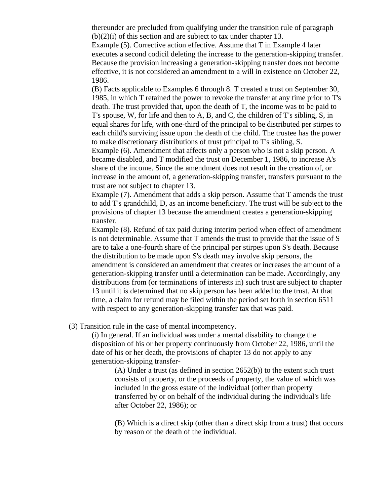thereunder are precluded from qualifying under the transition rule of paragraph (b)(2)(i) of this section and are subject to tax under chapter 13.

Example (5). Corrective action effective. Assume that T in Example 4 later executes a second codicil deleting the increase to the generation-skipping transfer. Because the provision increasing a generation-skipping transfer does not become effective, it is not considered an amendment to a will in existence on October 22, 1986.

(B) Facts applicable to Examples 6 through 8. T created a trust on September 30, 1985, in which T retained the power to revoke the transfer at any time prior to T's death. The trust provided that, upon the death of T, the income was to be paid to T's spouse, W, for life and then to A, B, and C, the children of T's sibling, S, in equal shares for life, with one-third of the principal to be distributed per stirpes to each child's surviving issue upon the death of the child. The trustee has the power to make discretionary distributions of trust principal to T's sibling, S.

Example (6). Amendment that affects only a person who is not a skip person. A became disabled, and T modified the trust on December 1, 1986, to increase A's share of the income. Since the amendment does not result in the creation of, or increase in the amount of, a generation-skipping transfer, transfers pursuant to the trust are not subject to chapter 13.

Example (7). Amendment that adds a skip person. Assume that T amends the trust to add T's grandchild, D, as an income beneficiary. The trust will be subject to the provisions of chapter 13 because the amendment creates a generation-skipping transfer.

Example (8). Refund of tax paid during interim period when effect of amendment is not determinable. Assume that T amends the trust to provide that the issue of S are to take a one-fourth share of the principal per stirpes upon S's death. Because the distribution to be made upon S's death may involve skip persons, the amendment is considered an amendment that creates or increases the amount of a generation-skipping transfer until a determination can be made. Accordingly, any distributions from (or terminations of interests in) such trust are subject to chapter 13 until it is determined that no skip person has been added to the trust. At that time, a claim for refund may be filed within the period set forth in section 6511 with respect to any generation-skipping transfer tax that was paid.

(3) Transition rule in the case of mental incompetency.

(i) In general. If an individual was under a mental disability to change the disposition of his or her property continuously from October 22, 1986, until the date of his or her death, the provisions of chapter 13 do not apply to any generation-skipping transfer-

(A) Under a trust (as defined in section 2652(b)) to the extent such trust consists of property, or the proceeds of property, the value of which was included in the gross estate of the individual (other than property transferred by or on behalf of the individual during the individual's life after October 22, 1986); or

(B) Which is a direct skip (other than a direct skip from a trust) that occurs by reason of the death of the individual.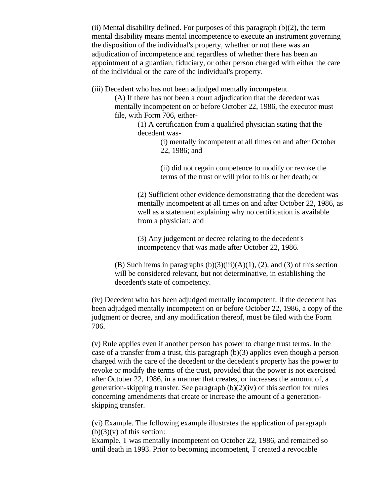(ii) Mental disability defined. For purposes of this paragraph  $(b)(2)$ , the term mental disability means mental incompetence to execute an instrument governing the disposition of the individual's property, whether or not there was an adjudication of incompetence and regardless of whether there has been an appointment of a guardian, fiduciary, or other person charged with either the care of the individual or the care of the individual's property.

(iii) Decedent who has not been adjudged mentally incompetent.

(A) If there has not been a court adjudication that the decedent was mentally incompetent on or before October 22, 1986, the executor must file, with Form 706, either-

> (1) A certification from a qualified physician stating that the decedent was-

> > (i) mentally incompetent at all times on and after October 22, 1986; and

(ii) did not regain competence to modify or revoke the terms of the trust or will prior to his or her death; or

(2) Sufficient other evidence demonstrating that the decedent was mentally incompetent at all times on and after October 22, 1986, as well as a statement explaining why no certification is available from a physician; and

(3) Any judgement or decree relating to the decedent's incompetency that was made after October 22, 1986.

(B) Such items in paragraphs  $(b)(3)(iii)(A)(1)$ ,  $(2)$ , and  $(3)$  of this section will be considered relevant, but not determinative, in establishing the decedent's state of competency.

(iv) Decedent who has been adjudged mentally incompetent. If the decedent has been adjudged mentally incompetent on or before October 22, 1986, a copy of the judgment or decree, and any modification thereof, must be filed with the Form 706.

(v) Rule applies even if another person has power to change trust terms. In the case of a transfer from a trust, this paragraph (b)(3) applies even though a person charged with the care of the decedent or the decedent's property has the power to revoke or modify the terms of the trust, provided that the power is not exercised after October 22, 1986, in a manner that creates, or increases the amount of, a generation-skipping transfer. See paragraph (b)(2)(iv) of this section for rules concerning amendments that create or increase the amount of a generationskipping transfer.

(vi) Example. The following example illustrates the application of paragraph  $(b)(3)(v)$  of this section:

Example. T was mentally incompetent on October 22, 1986, and remained so until death in 1993. Prior to becoming incompetent, T created a revocable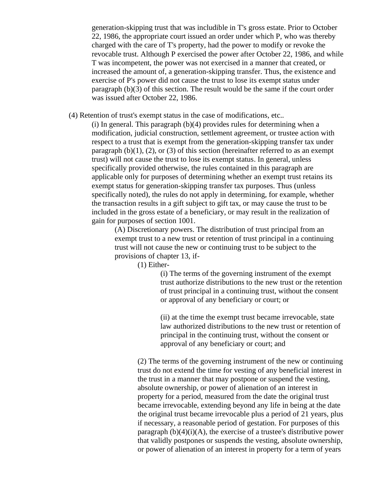generation-skipping trust that was includible in T's gross estate. Prior to October 22, 1986, the appropriate court issued an order under which P, who was thereby charged with the care of T's property, had the power to modify or revoke the revocable trust. Although P exercised the power after October 22, 1986, and while T was incompetent, the power was not exercised in a manner that created, or increased the amount of, a generation-skipping transfer. Thus, the existence and exercise of P's power did not cause the trust to lose its exempt status under paragraph (b)(3) of this section. The result would be the same if the court order was issued after October 22, 1986.

(4) Retention of trust's exempt status in the case of modifications, etc..

(i) In general. This paragraph (b)(4) provides rules for determining when a modification, judicial construction, settlement agreement, or trustee action with respect to a trust that is exempt from the generation-skipping transfer tax under paragraph  $(b)(1)$ ,  $(2)$ , or  $(3)$  of this section (hereinafter referred to as an exempt trust) will not cause the trust to lose its exempt status. In general, unless specifically provided otherwise, the rules contained in this paragraph are applicable only for purposes of determining whether an exempt trust retains its exempt status for generation-skipping transfer tax purposes. Thus (unless specifically noted), the rules do not apply in determining, for example, whether the transaction results in a gift subject to gift tax, or may cause the trust to be included in the gross estate of a beneficiary, or may result in the realization of gain for purposes of section 1001.

> (A) Discretionary powers. The distribution of trust principal from an exempt trust to a new trust or retention of trust principal in a continuing trust will not cause the new or continuing trust to be subject to the provisions of chapter 13, if-

> > (1) Either-

(i) The terms of the governing instrument of the exempt trust authorize distributions to the new trust or the retention of trust principal in a continuing trust, without the consent or approval of any beneficiary or court; or

(ii) at the time the exempt trust became irrevocable, state law authorized distributions to the new trust or retention of principal in the continuing trust, without the consent or approval of any beneficiary or court; and

(2) The terms of the governing instrument of the new or continuing trust do not extend the time for vesting of any beneficial interest in the trust in a manner that may postpone or suspend the vesting, absolute ownership, or power of alienation of an interest in property for a period, measured from the date the original trust became irrevocable, extending beyond any life in being at the date the original trust became irrevocable plus a period of 21 years, plus if necessary, a reasonable period of gestation. For purposes of this paragraph  $(b)(4)(i)(A)$ , the exercise of a trustee's distributive power that validly postpones or suspends the vesting, absolute ownership, or power of alienation of an interest in property for a term of years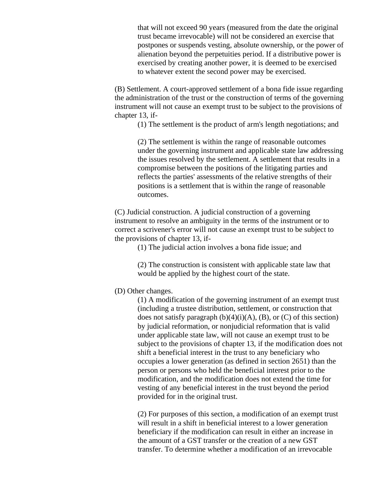that will not exceed 90 years (measured from the date the original trust became irrevocable) will not be considered an exercise that postpones or suspends vesting, absolute ownership, or the power of alienation beyond the perpetuities period. If a distributive power is exercised by creating another power, it is deemed to be exercised to whatever extent the second power may be exercised.

(B) Settlement. A court-approved settlement of a bona fide issue regarding the administration of the trust or the construction of terms of the governing instrument will not cause an exempt trust to be subject to the provisions of chapter 13, if-

(1) The settlement is the product of arm's length negotiations; and

(2) The settlement is within the range of reasonable outcomes under the governing instrument and applicable state law addressing the issues resolved by the settlement. A settlement that results in a compromise between the positions of the litigating parties and reflects the parties' assessments of the relative strengths of their positions is a settlement that is within the range of reasonable outcomes.

(C) Judicial construction. A judicial construction of a governing instrument to resolve an ambiguity in the terms of the instrument or to correct a scrivener's error will not cause an exempt trust to be subject to the provisions of chapter 13, if-

(1) The judicial action involves a bona fide issue; and

(2) The construction is consistent with applicable state law that would be applied by the highest court of the state.

## (D) Other changes.

(1) A modification of the governing instrument of an exempt trust (including a trustee distribution, settlement, or construction that does not satisfy paragraph  $(b)(4)(i)(A)$ ,  $(B)$ , or  $(C)$  of this section) by judicial reformation, or nonjudicial reformation that is valid under applicable state law, will not cause an exempt trust to be subject to the provisions of chapter 13, if the modification does not shift a beneficial interest in the trust to any beneficiary who occupies a lower generation (as defined in section 2651) than the person or persons who held the beneficial interest prior to the modification, and the modification does not extend the time for vesting of any beneficial interest in the trust beyond the period provided for in the original trust.

(2) For purposes of this section, a modification of an exempt trust will result in a shift in beneficial interest to a lower generation beneficiary if the modification can result in either an increase in the amount of a GST transfer or the creation of a new GST transfer. To determine whether a modification of an irrevocable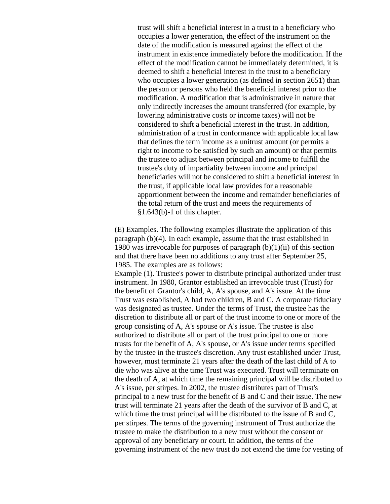trust will shift a beneficial interest in a trust to a beneficiary who occupies a lower generation, the effect of the instrument on the date of the modification is measured against the effect of the instrument in existence immediately before the modification. If the effect of the modification cannot be immediately determined, it is deemed to shift a beneficial interest in the trust to a beneficiary who occupies a lower generation (as defined in section 2651) than the person or persons who held the beneficial interest prior to the modification. A modification that is administrative in nature that only indirectly increases the amount transferred (for example, by lowering administrative costs or income taxes) will not be considered to shift a beneficial interest in the trust. In addition, administration of a trust in conformance with applicable local law that defines the term income as a unitrust amount (or permits a right to income to be satisfied by such an amount) or that permits the trustee to adjust between principal and income to fulfill the trustee's duty of impartiality between income and principal beneficiaries will not be considered to shift a beneficial interest in the trust, if applicable local law provides for a reasonable apportionment between the income and remainder beneficiaries of the total return of the trust and meets the requirements of §1.643(b)-1 of this chapter.

(E) Examples. The following examples illustrate the application of this paragraph (b)(4). In each example, assume that the trust established in 1980 was irrevocable for purposes of paragraph  $(b)(1)(ii)$  of this section and that there have been no additions to any trust after September 25, 1985. The examples are as follows:

Example (1). Trustee's power to distribute principal authorized under trust instrument. In 1980, Grantor established an irrevocable trust (Trust) for the benefit of Grantor's child, A, A's spouse, and A's issue. At the time Trust was established, A had two children, B and C. A corporate fiduciary was designated as trustee. Under the terms of Trust, the trustee has the discretion to distribute all or part of the trust income to one or more of the group consisting of A, A's spouse or A's issue. The trustee is also authorized to distribute all or part of the trust principal to one or more trusts for the benefit of A, A's spouse, or A's issue under terms specified by the trustee in the trustee's discretion. Any trust established under Trust, however, must terminate 21 years after the death of the last child of A to die who was alive at the time Trust was executed. Trust will terminate on the death of A, at which time the remaining principal will be distributed to A's issue, per stirpes. In 2002, the trustee distributes part of Trust's principal to a new trust for the benefit of B and C and their issue. The new trust will terminate 21 years after the death of the survivor of B and C, at which time the trust principal will be distributed to the issue of B and C, per stirpes. The terms of the governing instrument of Trust authorize the trustee to make the distribution to a new trust without the consent or approval of any beneficiary or court. In addition, the terms of the governing instrument of the new trust do not extend the time for vesting of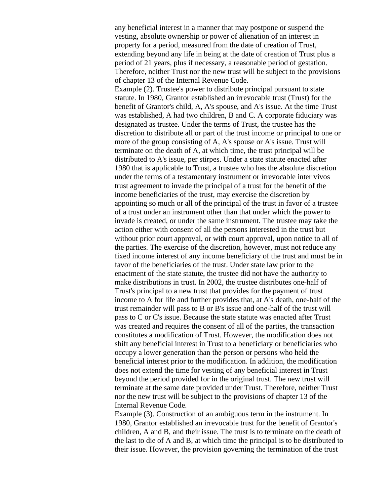any beneficial interest in a manner that may postpone or suspend the vesting, absolute ownership or power of alienation of an interest in property for a period, measured from the date of creation of Trust, extending beyond any life in being at the date of creation of Trust plus a period of 21 years, plus if necessary, a reasonable period of gestation. Therefore, neither Trust nor the new trust will be subject to the provisions of chapter 13 of the Internal Revenue Code.

Example (2). Trustee's power to distribute principal pursuant to state statute. In 1980, Grantor established an irrevocable trust (Trust) for the benefit of Grantor's child, A, A's spouse, and A's issue. At the time Trust was established, A had two children, B and C. A corporate fiduciary was designated as trustee. Under the terms of Trust, the trustee has the discretion to distribute all or part of the trust income or principal to one or more of the group consisting of A, A's spouse or A's issue. Trust will terminate on the death of A, at which time, the trust principal will be distributed to A's issue, per stirpes. Under a state statute enacted after 1980 that is applicable to Trust, a trustee who has the absolute discretion under the terms of a testamentary instrument or irrevocable inter vivos trust agreement to invade the principal of a trust for the benefit of the income beneficiaries of the trust, may exercise the discretion by appointing so much or all of the principal of the trust in favor of a trustee of a trust under an instrument other than that under which the power to invade is created, or under the same instrument. The trustee may take the action either with consent of all the persons interested in the trust but without prior court approval, or with court approval, upon notice to all of the parties. The exercise of the discretion, however, must not reduce any fixed income interest of any income beneficiary of the trust and must be in favor of the beneficiaries of the trust. Under state law prior to the enactment of the state statute, the trustee did not have the authority to make distributions in trust. In 2002, the trustee distributes one-half of Trust's principal to a new trust that provides for the payment of trust income to A for life and further provides that, at A's death, one-half of the trust remainder will pass to B or B's issue and one-half of the trust will pass to C or C's issue. Because the state statute was enacted after Trust was created and requires the consent of all of the parties, the transaction constitutes a modification of Trust. However, the modification does not shift any beneficial interest in Trust to a beneficiary or beneficiaries who occupy a lower generation than the person or persons who held the beneficial interest prior to the modification. In addition, the modification does not extend the time for vesting of any beneficial interest in Trust beyond the period provided for in the original trust. The new trust will terminate at the same date provided under Trust. Therefore, neither Trust nor the new trust will be subject to the provisions of chapter 13 of the Internal Revenue Code.

Example (3). Construction of an ambiguous term in the instrument. In 1980, Grantor established an irrevocable trust for the benefit of Grantor's children, A and B, and their issue. The trust is to terminate on the death of the last to die of A and B, at which time the principal is to be distributed to their issue. However, the provision governing the termination of the trust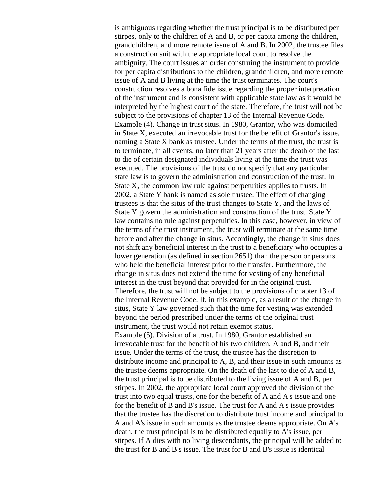is ambiguous regarding whether the trust principal is to be distributed per stirpes, only to the children of A and B, or per capita among the children, grandchildren, and more remote issue of A and B. In 2002, the trustee files a construction suit with the appropriate local court to resolve the ambiguity. The court issues an order construing the instrument to provide for per capita distributions to the children, grandchildren, and more remote issue of A and B living at the time the trust terminates. The court's construction resolves a bona fide issue regarding the proper interpretation of the instrument and is consistent with applicable state law as it would be interpreted by the highest court of the state. Therefore, the trust will not be subject to the provisions of chapter 13 of the Internal Revenue Code. Example (4). Change in trust situs. In 1980, Grantor, who was domiciled in State X, executed an irrevocable trust for the benefit of Grantor's issue, naming a State X bank as trustee. Under the terms of the trust, the trust is to terminate, in all events, no later than 21 years after the death of the last to die of certain designated individuals living at the time the trust was executed. The provisions of the trust do not specify that any particular state law is to govern the administration and construction of the trust. In State X, the common law rule against perpetuities applies to trusts. In 2002, a State Y bank is named as sole trustee. The effect of changing trustees is that the situs of the trust changes to State Y, and the laws of State Y govern the administration and construction of the trust. State Y law contains no rule against perpetuities. In this case, however, in view of the terms of the trust instrument, the trust will terminate at the same time before and after the change in situs. Accordingly, the change in situs does not shift any beneficial interest in the trust to a beneficiary who occupies a lower generation (as defined in section 2651) than the person or persons who held the beneficial interest prior to the transfer. Furthermore, the change in situs does not extend the time for vesting of any beneficial interest in the trust beyond that provided for in the original trust. Therefore, the trust will not be subject to the provisions of chapter 13 of the Internal Revenue Code. If, in this example, as a result of the change in situs, State Y law governed such that the time for vesting was extended beyond the period prescribed under the terms of the original trust instrument, the trust would not retain exempt status. Example (5). Division of a trust. In 1980, Grantor established an irrevocable trust for the benefit of his two children, A and B, and their issue. Under the terms of the trust, the trustee has the discretion to distribute income and principal to A, B, and their issue in such amounts as the trustee deems appropriate. On the death of the last to die of A and B, the trust principal is to be distributed to the living issue of A and B, per stirpes. In 2002, the appropriate local court approved the division of the trust into two equal trusts, one for the benefit of A and A's issue and one for the benefit of B and B's issue. The trust for A and A's issue provides that the trustee has the discretion to distribute trust income and principal to A and A's issue in such amounts as the trustee deems appropriate. On A's death, the trust principal is to be distributed equally to A's issue, per stirpes. If A dies with no living descendants, the principal will be added to the trust for B and B's issue. The trust for B and B's issue is identical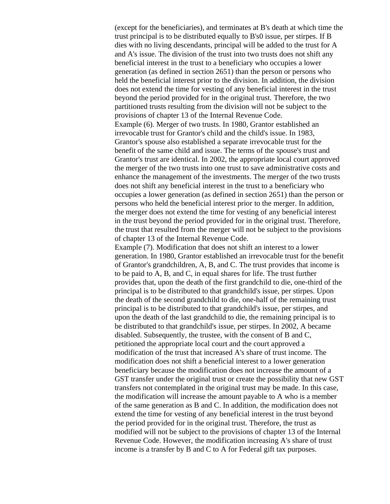(except for the beneficiaries), and terminates at B's death at which time the trust principal is to be distributed equally to B's0 issue, per stirpes. If B dies with no living descendants, principal will be added to the trust for A and A's issue. The division of the trust into two trusts does not shift any beneficial interest in the trust to a beneficiary who occupies a lower generation (as defined in section 2651) than the person or persons who held the beneficial interest prior to the division. In addition, the division does not extend the time for vesting of any beneficial interest in the trust beyond the period provided for in the original trust. Therefore, the two partitioned trusts resulting from the division will not be subject to the provisions of chapter 13 of the Internal Revenue Code. Example (6). Merger of two trusts. In 1980, Grantor established an irrevocable trust for Grantor's child and the child's issue. In 1983, Grantor's spouse also established a separate irrevocable trust for the benefit of the same child and issue. The terms of the spouse's trust and Grantor's trust are identical. In 2002, the appropriate local court approved the merger of the two trusts into one trust to save administrative costs and enhance the management of the investments. The merger of the two trusts does not shift any beneficial interest in the trust to a beneficiary who occupies a lower generation (as defined in section 2651) than the person or persons who held the beneficial interest prior to the merger. In addition, the merger does not extend the time for vesting of any beneficial interest in the trust beyond the period provided for in the original trust. Therefore, the trust that resulted from the merger will not be subject to the provisions of chapter 13 of the Internal Revenue Code.

Example (7). Modification that does not shift an interest to a lower generation. In 1980, Grantor established an irrevocable trust for the benefit of Grantor's grandchildren, A, B, and C. The trust provides that income is to be paid to A, B, and C, in equal shares for life. The trust further provides that, upon the death of the first grandchild to die, one-third of the principal is to be distributed to that grandchild's issue, per stirpes. Upon the death of the second grandchild to die, one-half of the remaining trust principal is to be distributed to that grandchild's issue, per stirpes, and upon the death of the last grandchild to die, the remaining principal is to be distributed to that grandchild's issue, per stirpes. In 2002, A became disabled. Subsequently, the trustee, with the consent of B and C, petitioned the appropriate local court and the court approved a modification of the trust that increased A's share of trust income. The modification does not shift a beneficial interest to a lower generation beneficiary because the modification does not increase the amount of a GST transfer under the original trust or create the possibility that new GST transfers not contemplated in the original trust may be made. In this case, the modification will increase the amount payable to A who is a member of the same generation as B and C. In addition, the modification does not extend the time for vesting of any beneficial interest in the trust beyond the period provided for in the original trust. Therefore, the trust as modified will not be subject to the provisions of chapter 13 of the Internal Revenue Code. However, the modification increasing A's share of trust income is a transfer by B and C to A for Federal gift tax purposes.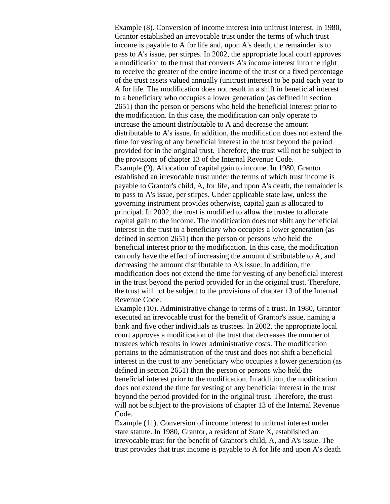Example (8). Conversion of income interest into unitrust interest. In 1980, Grantor established an irrevocable trust under the terms of which trust income is payable to A for life and, upon A's death, the remainder is to pass to A's issue, per stirpes. In 2002, the appropriate local court approves a modification to the trust that converts A's income interest into the right to receive the greater of the entire income of the trust or a fixed percentage of the trust assets valued annually (unitrust interest) to be paid each year to A for life. The modification does not result in a shift in beneficial interest to a beneficiary who occupies a lower generation (as defined in section 2651) than the person or persons who held the beneficial interest prior to the modification. In this case, the modification can only operate to increase the amount distributable to A and decrease the amount distributable to A's issue. In addition, the modification does not extend the time for vesting of any beneficial interest in the trust beyond the period provided for in the original trust. Therefore, the trust will not be subject to the provisions of chapter 13 of the Internal Revenue Code. Example (9). Allocation of capital gain to income. In 1980, Grantor established an irrevocable trust under the terms of which trust income is payable to Grantor's child, A, for life, and upon A's death, the remainder is to pass to A's issue, per stirpes. Under applicable state law, unless the governing instrument provides otherwise, capital gain is allocated to principal. In 2002, the trust is modified to allow the trustee to allocate capital gain to the income. The modification does not shift any beneficial interest in the trust to a beneficiary who occupies a lower generation (as defined in section 2651) than the person or persons who held the beneficial interest prior to the modification. In this case, the modification can only have the effect of increasing the amount distributable to A, and decreasing the amount distributable to A's issue. In addition, the modification does not extend the time for vesting of any beneficial interest in the trust beyond the period provided for in the original trust. Therefore, the trust will not be subject to the provisions of chapter 13 of the Internal Revenue Code.

Example (10). Administrative change to terms of a trust. In 1980, Grantor executed an irrevocable trust for the benefit of Grantor's issue, naming a bank and five other individuals as trustees. In 2002, the appropriate local court approves a modification of the trust that decreases the number of trustees which results in lower administrative costs. The modification pertains to the administration of the trust and does not shift a beneficial interest in the trust to any beneficiary who occupies a lower generation (as defined in section 2651) than the person or persons who held the beneficial interest prior to the modification. In addition, the modification does not extend the time for vesting of any beneficial interest in the trust beyond the period provided for in the original trust. Therefore, the trust will not be subject to the provisions of chapter 13 of the Internal Revenue Code.

Example (11). Conversion of income interest to unitrust interest under state statute. In 1980, Grantor, a resident of State X, established an irrevocable trust for the benefit of Grantor's child, A, and A's issue. The trust provides that trust income is payable to A for life and upon A's death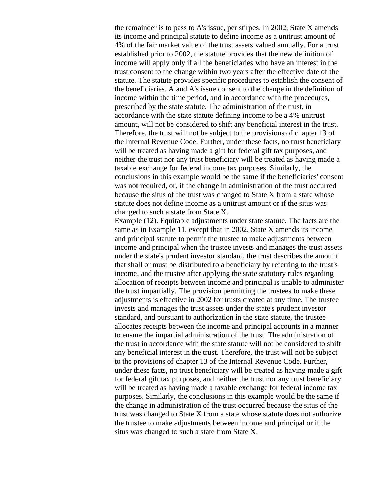the remainder is to pass to A's issue, per stirpes. In 2002, State X amends its income and principal statute to define income as a unitrust amount of 4% of the fair market value of the trust assets valued annually. For a trust established prior to 2002, the statute provides that the new definition of income will apply only if all the beneficiaries who have an interest in the trust consent to the change within two years after the effective date of the statute. The statute provides specific procedures to establish the consent of the beneficiaries. A and A's issue consent to the change in the definition of income within the time period, and in accordance with the procedures, prescribed by the state statute. The administration of the trust, in accordance with the state statute defining income to be a 4% unitrust amount, will not be considered to shift any beneficial interest in the trust. Therefore, the trust will not be subject to the provisions of chapter 13 of the Internal Revenue Code. Further, under these facts, no trust beneficiary will be treated as having made a gift for federal gift tax purposes, and neither the trust nor any trust beneficiary will be treated as having made a taxable exchange for federal income tax purposes. Similarly, the conclusions in this example would be the same if the beneficiaries' consent was not required, or, if the change in administration of the trust occurred because the situs of the trust was changed to State X from a state whose statute does not define income as a unitrust amount or if the situs was changed to such a state from State X.

Example (12). Equitable adjustments under state statute. The facts are the same as in Example 11, except that in 2002, State X amends its income and principal statute to permit the trustee to make adjustments between income and principal when the trustee invests and manages the trust assets under the state's prudent investor standard, the trust describes the amount that shall or must be distributed to a beneficiary by referring to the trust's income, and the trustee after applying the state statutory rules regarding allocation of receipts between income and principal is unable to administer the trust impartially. The provision permitting the trustees to make these adjustments is effective in 2002 for trusts created at any time. The trustee invests and manages the trust assets under the state's prudent investor standard, and pursuant to authorization in the state statute, the trustee allocates receipts between the income and principal accounts in a manner to ensure the impartial administration of the trust. The administration of the trust in accordance with the state statute will not be considered to shift any beneficial interest in the trust. Therefore, the trust will not be subject to the provisions of chapter 13 of the Internal Revenue Code. Further, under these facts, no trust beneficiary will be treated as having made a gift for federal gift tax purposes, and neither the trust nor any trust beneficiary will be treated as having made a taxable exchange for federal income tax purposes. Similarly, the conclusions in this example would be the same if the change in administration of the trust occurred because the situs of the trust was changed to State X from a state whose statute does not authorize the trustee to make adjustments between income and principal or if the situs was changed to such a state from State X.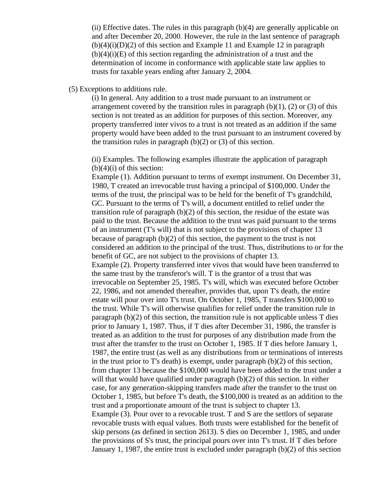(ii) Effective dates. The rules in this paragraph  $(b)(4)$  are generally applicable on and after December 20, 2000. However, the rule in the last sentence of paragraph  $(b)(4)(i)(D)(2)$  of this section and Example 11 and Example 12 in paragraph  $(b)(4)(i)(E)$  of this section regarding the administration of a trust and the determination of income in conformance with applicable state law applies to trusts for taxable years ending after January 2, 2004.

(5) Exceptions to additions rule.

(i) In general. Any addition to a trust made pursuant to an instrument or arrangement covered by the transition rules in paragraph  $(b)(1)$ ,  $(2)$  or  $(3)$  of this section is not treated as an addition for purposes of this section. Moreover, any property transferred inter vivos to a trust is not treated as an addition if the same property would have been added to the trust pursuant to an instrument covered by the transition rules in paragraph  $(b)(2)$  or  $(3)$  of this section.

(ii) Examples. The following examples illustrate the application of paragraph  $(b)(4)(i)$  of this section:

Example (1). Addition pursuant to terms of exempt instrument. On December 31, 1980, T created an irrevocable trust having a principal of \$100,000. Under the terms of the trust, the principal was to be held for the benefit of T's grandchild, GC. Pursuant to the terms of T's will, a document entitled to relief under the transition rule of paragraph  $(b)(2)$  of this section, the residue of the estate was paid to the trust. Because the addition to the trust was paid pursuant to the terms of an instrument (T's will) that is not subject to the provisions of chapter 13 because of paragraph (b)(2) of this section, the payment to the trust is not considered an addition to the principal of the trust. Thus, distributions to or for the benefit of GC, are not subject to the provisions of chapter 13. Example (2). Property transferred inter vivos that would have been transferred to the same trust by the transferor's will. T is the grantor of a trust that was irrevocable on September 25, 1985. T's will, which was executed before October 22, 1986, and not amended thereafter, provides that, upon T's death, the entire estate will pour over into T's trust. On October 1, 1985, T transfers \$100,000 to the trust. While T's will otherwise qualifies for relief under the transition rule in paragraph (b)(2) of this section, the transition rule is not applicable unless T dies prior to January 1, 1987. Thus, if T dies after December 31, 1986, the transfer is treated as an addition to the trust for purposes of any distribution made from the trust after the transfer to the trust on October 1, 1985. If T dies before January 1, 1987, the entire trust (as well as any distributions from or terminations of interests in the trust prior to T's death) is exempt, under paragraph (b)(2) of this section, from chapter 13 because the \$100,000 would have been added to the trust under a will that would have qualified under paragraph (b)(2) of this section. In either case, for any generation-skipping transfers made after the transfer to the trust on October 1, 1985, but before T's death, the \$100,000 is treated as an addition to the trust and a proportionate amount of the trust is subject to chapter 13. Example (3). Pour over to a revocable trust. T and S are the settlors of separate revocable trusts with equal values. Both trusts were established for the benefit of skip persons (as defined in section 2613). S dies on December 1, 1985, and under the provisions of S's trust, the principal pours over into T's trust. If T dies before January 1, 1987, the entire trust is excluded under paragraph (b)(2) of this section